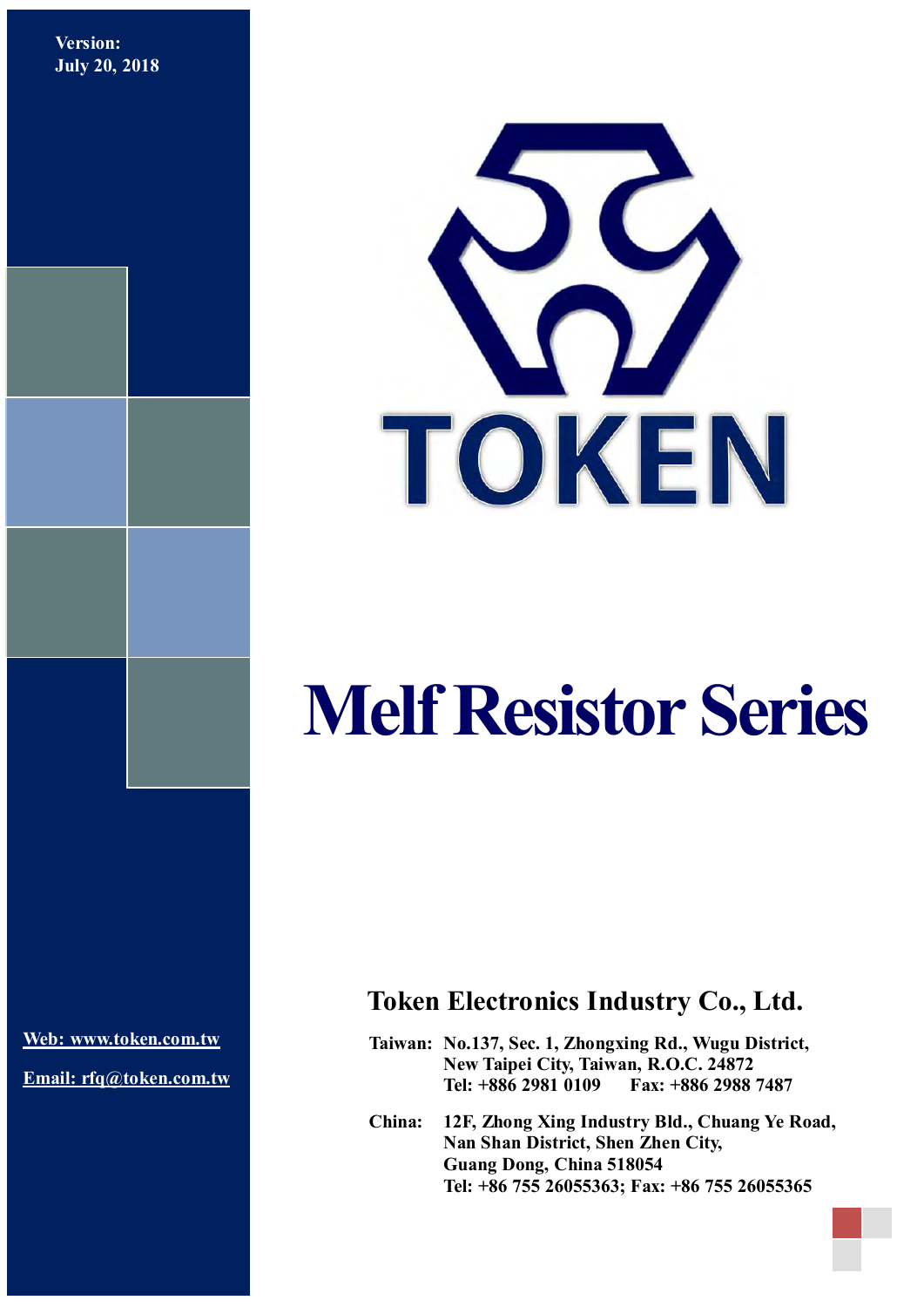**Version: July 20, 2018**



# **Melf Resistor Series**

**[Web: www.token.com.tw](http://www.token.com.tw/)**

**Email: rfq@token.com.tw**

## **Token Electronics Industry Co., Ltd.**

**Taiwan: No.137, Sec. 1, Zhongxing Rd., Wugu District, New Taipei City, Taiwan, R.O.C. 24872 Tel: +886 2981 0109 Fax: +886 2988 7487**

**China: 12F, Zhong Xing Industry Bld., Chuang Ye Road, Nan Shan District, Shen Zhen City, Guang Dong, China 518054 Tel: +86 755 26055363; Fax: +86 755 26055365**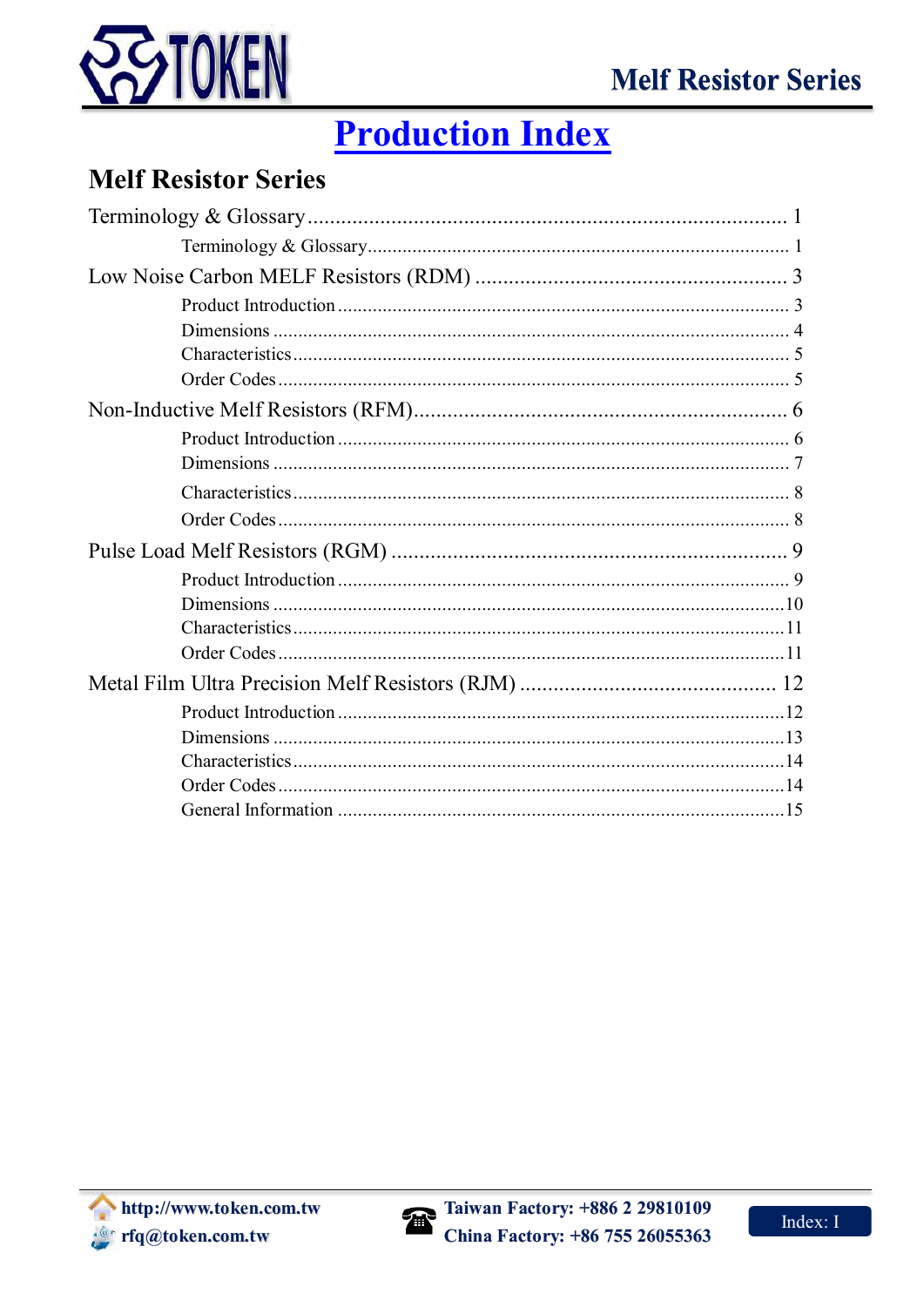

# **Production Index**

## **Melf Resistor Series**

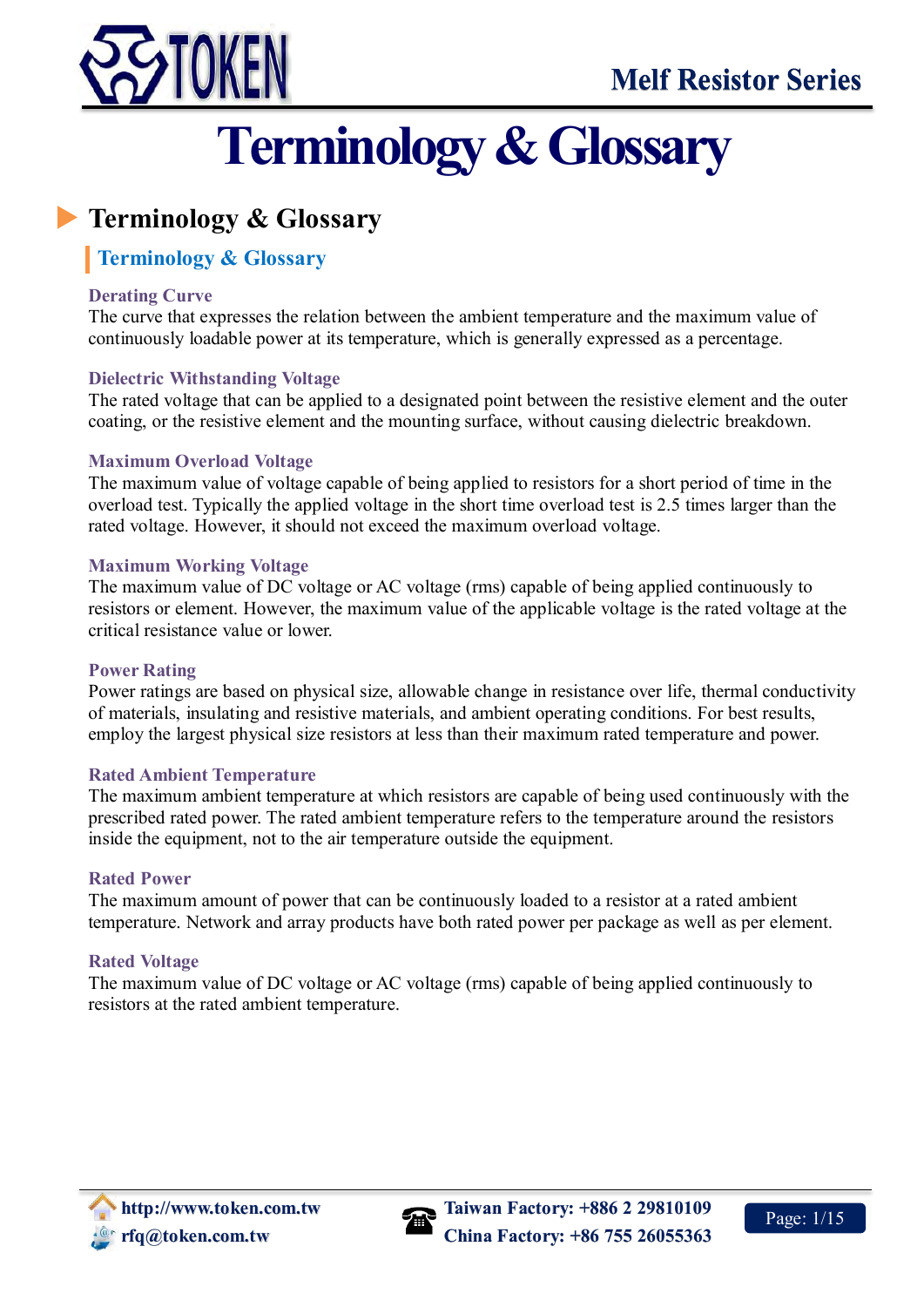<span id="page-2-0"></span>

# **Terminology & Glossary**

## <span id="page-2-1"></span>**Terminology & Glossary**

## **Terminology & Glossary**

#### **Derating Curve**

The curve that expresses the relation between the ambient temperature and the maximum value of continuously loadable power at its temperature, which is generally expressed as a percentage.

### **Dielectric Withstanding Voltage**

The rated voltage that can be applied to a designated point between the resistive element and the outer coating, or the resistive element and the mounting surface, without causing dielectric breakdown.

#### **Maximum Overload Voltage**

The maximum value of voltage capable of being applied to resistors for a short period of time in the overload test. Typically the applied voltage in the short time overload test is 2.5 times larger than the rated voltage. However, it should not exceed the maximum overload voltage.

#### **Maximum Working Voltage**

The maximum value of DC voltage or AC voltage (rms) capable of being applied continuously to resistors or element. However, the maximum value of the applicable voltage is the rated voltage at the critical resistance value or lower.

#### **Power Rating**

Power ratings are based on physical size, allowable change in resistance over life, thermal conductivity of materials, insulating and resistive materials, and ambient operating conditions. For best results, employ the largest physical size resistors at less than their maximum rated temperature and power.

#### **Rated Ambient Temperature**

The maximum ambient temperature at which resistors are capable of being used continuously with the prescribed rated power. The rated ambient temperature refers to the temperature around the resistors inside the equipment, not to the air temperature outside the equipment.

#### **Rated Power**

The maximum amount of power that can be continuously loaded to a resistor at a rated ambient temperature. Network and array products have both rated power per package as well as per element.

### **Rated Voltage**

The maximum value of DC voltage or AC voltage (rms) capable of being applied continuously to resistors at the rated ambient temperature.

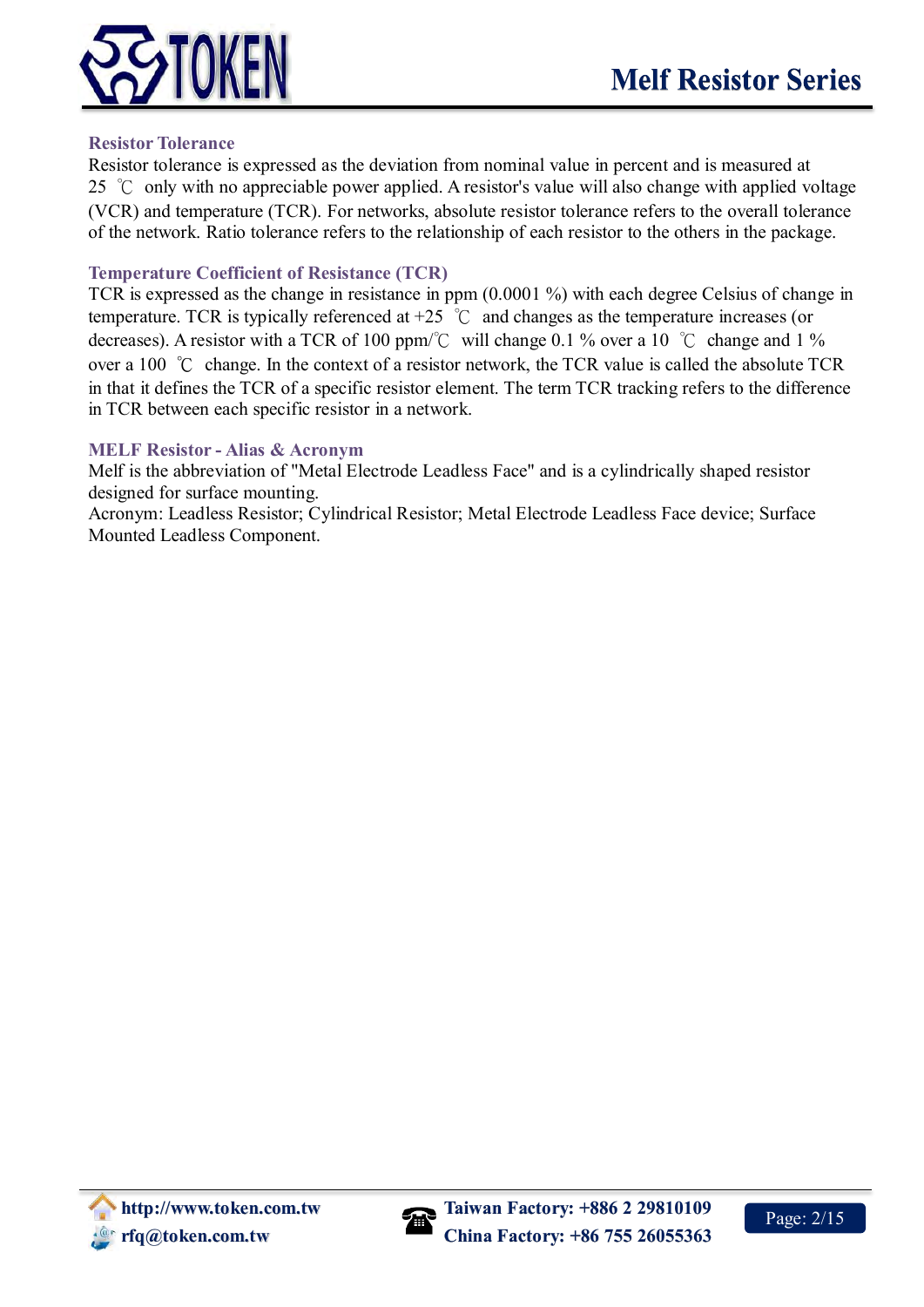

#### **Resistor Tolerance**

Resistor tolerance is expressed as the deviation from nominal value in percent and is measured at 25 ℃ only with no appreciable power applied. A resistor's value will also change with applied voltage (VCR) and temperature (TCR). For networks, absolute resistor tolerance refers to the overall tolerance of the network. Ratio tolerance refers to the relationship of each resistor to the others in the package.

#### **Temperature Coefficient of Resistance (TCR)**

TCR is expressed as the change in resistance in ppm (0.0001 %) with each degree Celsius of change in temperature. TCR is typically referenced at  $+25$  °C and changes as the temperature increases (or decreases). A resistor with a TCR of 100 ppm/°C will change 0.1 % over a 10 °C change and 1 % over a 100 ℃ change. In the context of a resistor network, the TCR value is called the absolute TCR in that it defines the TCR of a specific resistor element. The term TCR tracking refers to the difference in TCR between each specific resistor in a network.

#### **MELF Resistor - Alias & Acronym**

Melf is the abbreviation of "Metal Electrode Leadless Face" and is a cylindrically shaped resistor designed for surface mounting.

Acronym: Leadless Resistor; Cylindrical Resistor; Metal Electrode Leadless Face device; Surface Mounted Leadless Component.

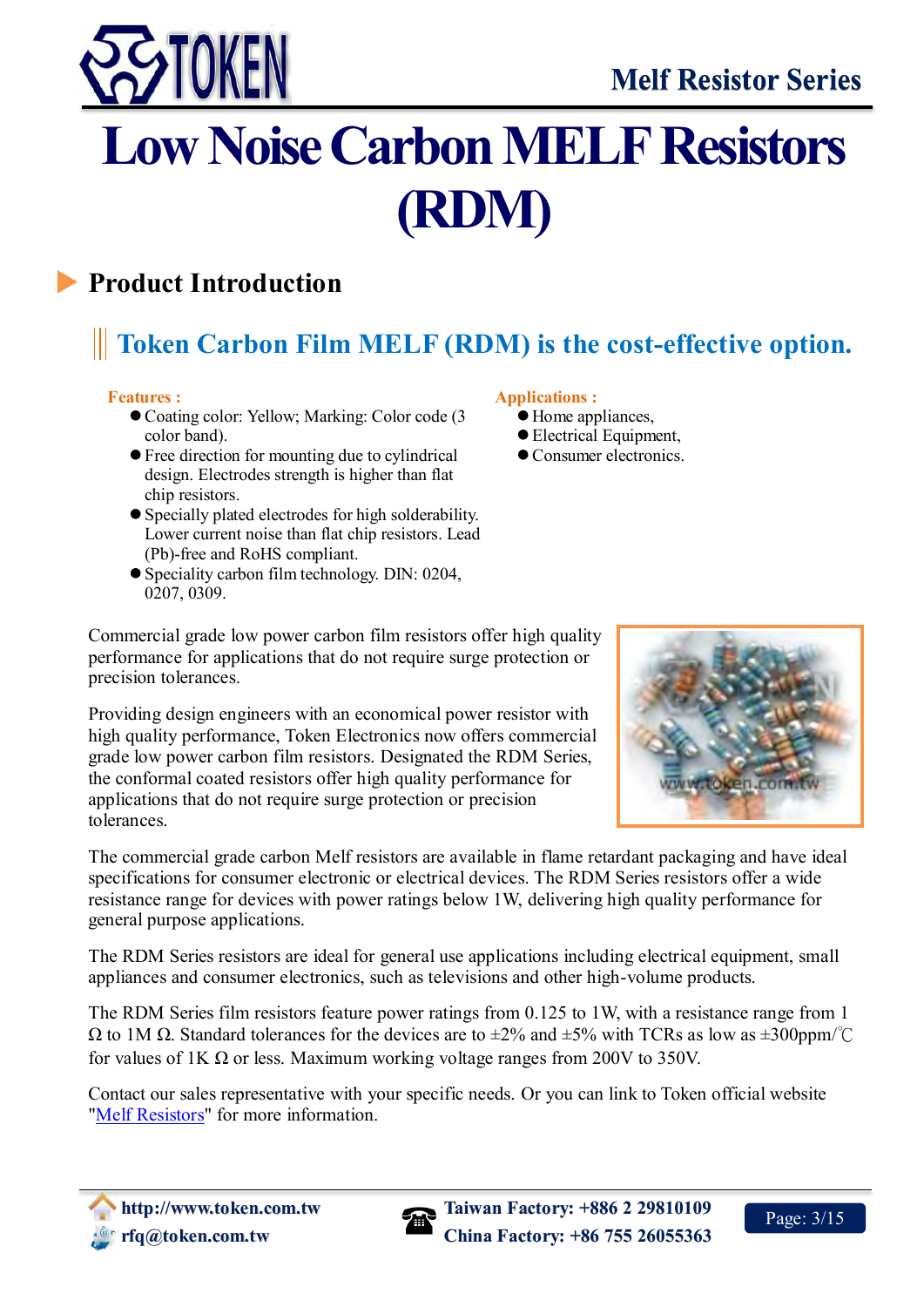



# <span id="page-4-0"></span>**Low Noise Carbon MELF Resistors (RDM)**

# <span id="page-4-1"></span>**Product Introduction**

## $\overline{a}$ **Token Carbon Film MELF (RDM) is the cost-effective option.**

### **Features :**

- Coating color: Yellow; Marking: Color code (3) color band).
- Free direction for mounting due to cylindrical design. Electrodes strength is higher than flat chip resistors.
- Specially plated electrodes for high solderability. Lower current noise than flat chip resistors. Lead (Pb)-free and RoHS compliant.
- Speciality carbon film technology. DIN: 0204, 0207, 0309.

#### **Applications :**

- $\bullet$  Home appliances,
- Electrical Equipment,
- Consumer electronics.

Commercial grade low power carbon film resistors offer high quality performance for applications that do not require surge protection or precision tolerances.

Providing design engineers with an economical power resistor with high quality performance, Token Electronics now offers commercial grade low power carbon film resistors. Designated the RDM Series, the conformal coated resistors offer high quality performance for applications that do not require surge protection or precision tolerances.

The commercial grade carbon Melf resistors are available in flame retardant packaging and have ideal specifications for consumer electronic or electrical devices. The RDM Series resistors offer a wide resistance range for devices with power ratings below 1W, delivering high quality performance for general purpose applications.

The RDM Series resistors are ideal for general use applications including electrical equipment, small appliances and consumer electronics, such as televisions and other high-volume products.

The RDM Series film resistors feature power ratings from 0.125 to 1W, with a resistance range from 1  $\Omega$  to 1M  $\Omega$ . Standard tolerances for the devices are to  $\pm 2\%$  and  $\pm 5\%$  with TCRs as low as  $\pm 300$ ppm/°C for values of 1K  $\Omega$  or less. Maximum working voltage ranges from 200V to 350V.

Contact our sales representative with your specific needs. Or you can link to Token official website ["Melf Resistors"](http://www.token.com.tw/melf-resistor/index.html) for more information.



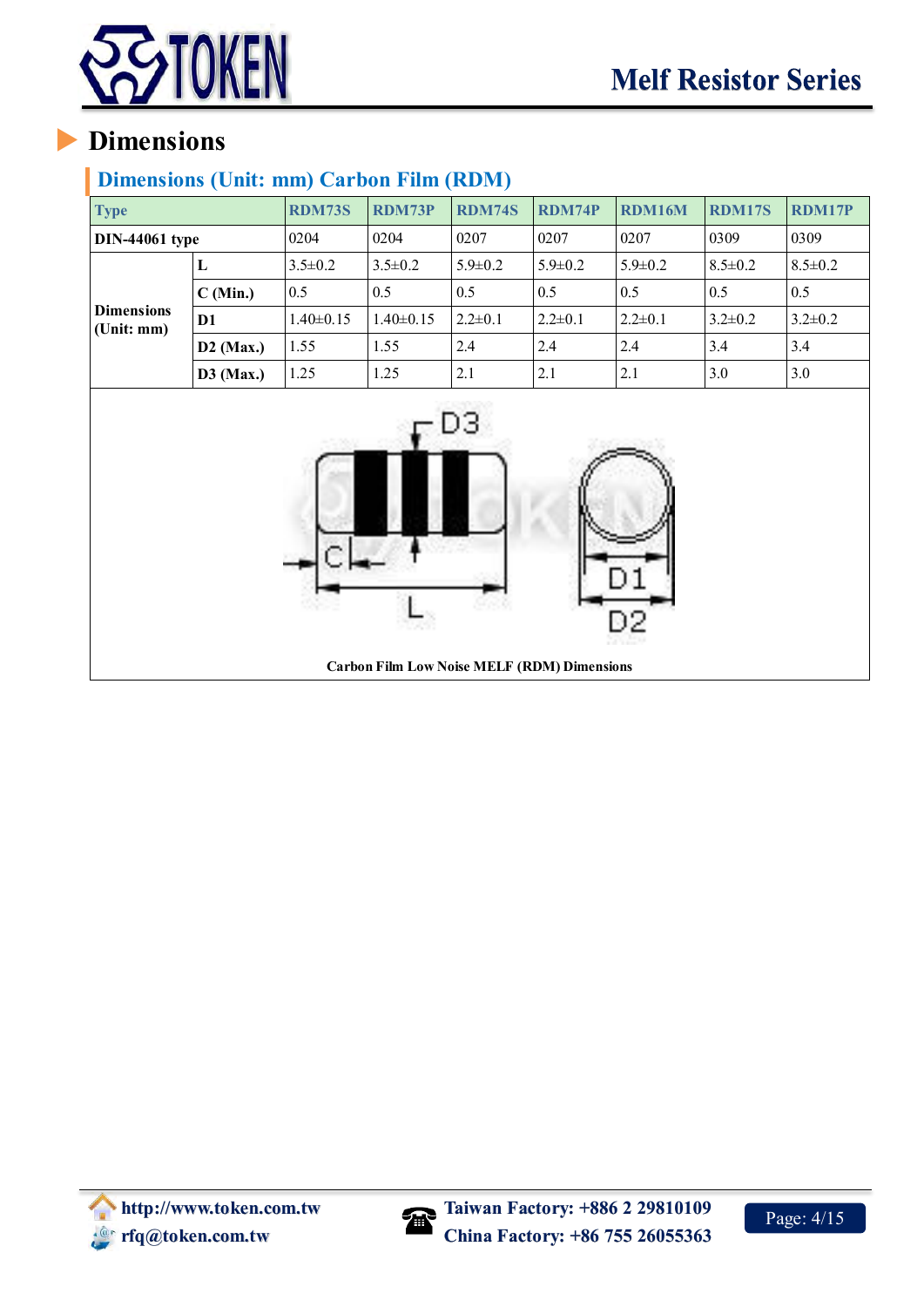

## <span id="page-5-0"></span>**Dimensions (Unit: mm) Carbon Film (RDM)**

| <b>Type</b>                     |                  | <b>RDM73S</b>   | <b>RDM73P</b>                                      | <b>RDM74S</b> | <b>RDM74P</b> | <b>RDM16M</b> | <b>RDM17S</b> | <b>RDM17P</b> |
|---------------------------------|------------------|-----------------|----------------------------------------------------|---------------|---------------|---------------|---------------|---------------|
| <b>DIN-44061</b> type           |                  | 0204            | 0204                                               | 0207          | 0207          | 0207          | 0309          | 0309          |
|                                 | ${\bf L}$        | $3.5 \pm 0.2$   | $3.5 \pm 0.2$                                      | $5.9 \pm 0.2$ | $5.9 \pm 0.2$ | $5.9 \pm 0.2$ | $8.5 \pm 0.2$ | $8.5 \pm 0.2$ |
|                                 | C (Min.)         | 0.5             | 0.5                                                | $0.5\,$       | 0.5           | 0.5           | 0.5           | 0.5           |
| <b>Dimensions</b><br>(Unit: mm) | D1               | $1.40 \pm 0.15$ | $1.40 \pm 0.15$                                    | $2.2 \pm 0.1$ | $2.2 \pm 0.1$ | $2.2 \pm 0.1$ | $3.2 \pm 0.2$ | $3.2 \pm 0.2$ |
|                                 | $D2$ (Max.)      | 1.55            | 1.55                                               | 2.4           | 2.4           | 2.4           | 3.4           | 3.4           |
|                                 | <b>D3</b> (Max.) | 1.25            | 1.25                                               | 2.1           | 2.1           | 2.1           | 3.0           | 3.0           |
|                                 |                  |                 | <b>Carbon Film Low Noise MELF (RDM) Dimensions</b> | DЗ            |               |               |               |               |

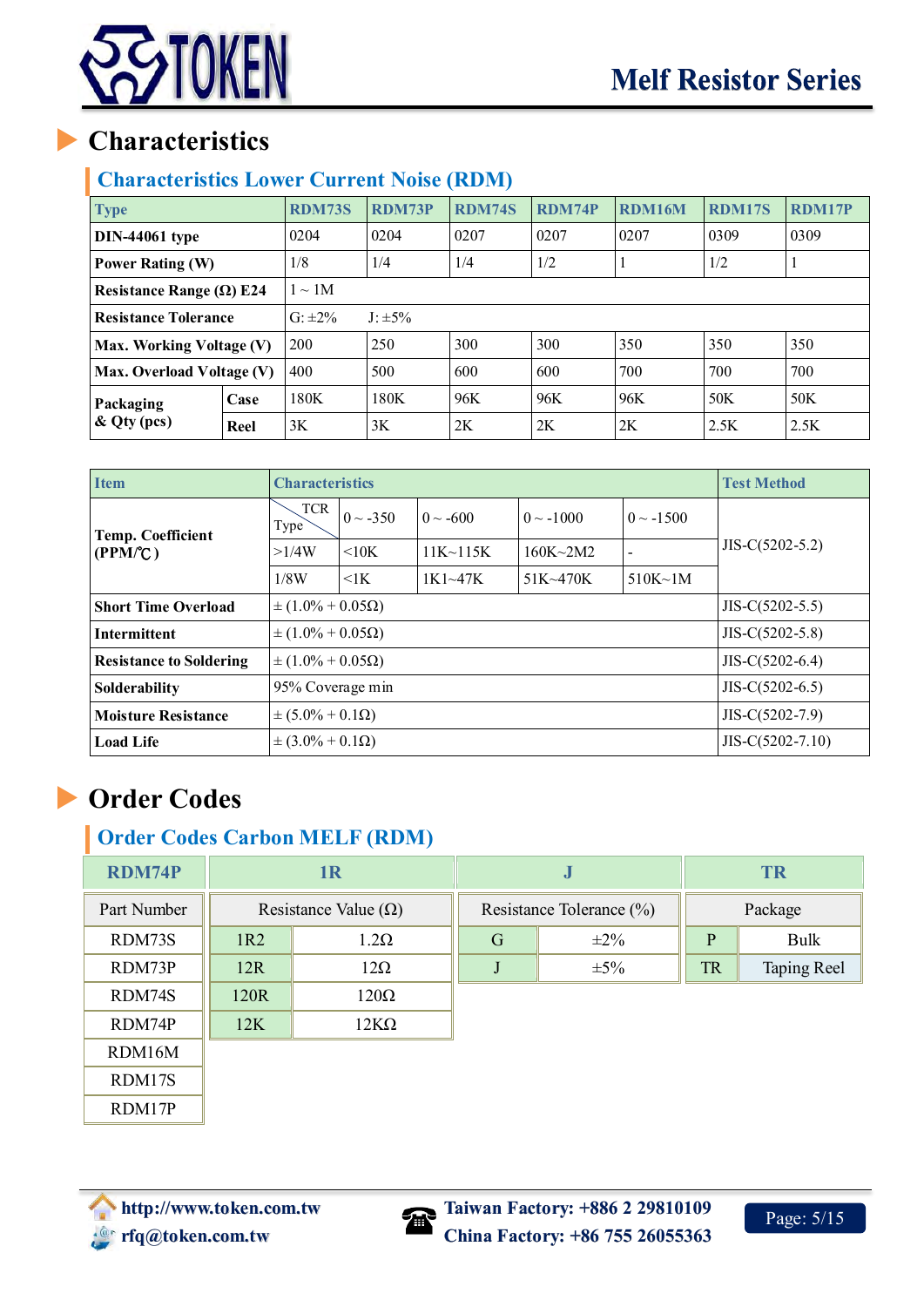

## <span id="page-6-0"></span>**Characteristics Lower Current Noise (RDM)**

| <b>Type</b>                                                 |      | <b>RDM73S</b> | <b>RDM73P</b> | <b>RDM74S</b> | <b>RDM74P</b> | <b>RDM16M</b> | <b>RDM17S</b> | <b>RDM17P</b> |
|-------------------------------------------------------------|------|---------------|---------------|---------------|---------------|---------------|---------------|---------------|
| $DIN-44061$ type                                            |      | 0204          | 0204          | 0207          | 0207          | 0207          | 0309          | 0309          |
| <b>Power Rating (W)</b>                                     |      | 1/8           | 1/4           | 1/4           | 1/2           |               | 1/2           |               |
| $1 \sim 1$ M<br>Resistance Range ( $\Omega$ ) E24           |      |               |               |               |               |               |               |               |
| $G: \pm 2\%$<br>$J: \pm 5\%$<br><b>Resistance Tolerance</b> |      |               |               |               |               |               |               |               |
| Max. Working Voltage (V)                                    |      | 200           | 250           | 300           | 300           | 350           | 350           | 350           |
| Max. Overload Voltage (V)                                   |      | 400           | 500           | 600           | 600           | 700           | 700           | 700           |
| Packaging<br>$\&$ Qty (pcs)                                 | Case | 180K          | 180K          | 96K           | 96K           | 96K           | 50K           | 50K           |
|                                                             | Reel | 3K            | 3K            | 2K            | 2K            | 2K            | 2.5K          | 2.5K          |

| <b>Item</b>                         | <b>Characteristics</b>                         |                                                 |                 | <b>Test Method</b> |                |                    |  |
|-------------------------------------|------------------------------------------------|-------------------------------------------------|-----------------|--------------------|----------------|--------------------|--|
| <b>Temp. Coefficient</b><br>(PPM/C) | <b>TCR</b><br>Type <sup>7</sup>                | $0 \sim -350$                                   | $0 \sim -600$   | $0 \sim -1000$     | $0 \sim -1500$ |                    |  |
|                                     | >1/4W                                          | $\leq 10K$                                      | $11K \sim 115K$ | $160K - 2M2$       |                | $JIS-C(5202-5.2)$  |  |
|                                     | 1/8W                                           | $\leq$ 1 $\leq$                                 | $1K1 \sim 47K$  | $51K - 470K$       | $510K \sim 1M$ |                    |  |
| <b>Short Time Overload</b>          |                                                | $\pm (1.0\% + 0.05\Omega)$<br>$JIS-C(5202-5.5)$ |                 |                    |                |                    |  |
| <b>Intermittent</b>                 | $\pm (1.0\% + 0.05\Omega)$                     |                                                 |                 |                    |                | $JIS-C(5202-5.8)$  |  |
| <b>Resistance to Soldering</b>      | $\pm (1.0\% + 0.05\Omega)$                     |                                                 |                 |                    |                | $JIS-C(5202-6.4)$  |  |
| Solderability                       | 95% Coverage min                               |                                                 |                 |                    |                | $JIS-C(5202-6.5)$  |  |
| <b>Moisture Resistance</b>          | $JIS-C(5202-7.9)$<br>$\pm (5.0\% + 0.1\Omega)$ |                                                 |                 |                    |                |                    |  |
| <b>Load Life</b>                    | $\pm (3.0\% + 0.1\Omega)$                      |                                                 |                 |                    |                | $JIS-C(5202-7.10)$ |  |

# <span id="page-6-1"></span>**Order Codes**

## **Order Codes Carbon MELF (RDM)**

| <b>RDM74P</b> |                             | 1 <sub>R</sub> |                | J         | <b>TR</b> |                          |         |  |  |
|---------------|-----------------------------|----------------|----------------|-----------|-----------|--------------------------|---------|--|--|
| Part Number   | Resistance Value $(\Omega)$ |                |                |           |           | Resistance Tolerance (%) | Package |  |  |
| RDM73S        | 1R2                         | $1.2\Omega$    | $\overline{G}$ | $\pm 2\%$ | P         | Bulk                     |         |  |  |
| RDM73P        | 12R                         | $12\Omega$     |                | $\pm 5\%$ | <b>TR</b> | Taping Reel              |         |  |  |
| RDM74S        | 120R                        | $120\Omega$    |                |           |           |                          |         |  |  |
| RDM74P        | 12K                         | 12KΩ           |                |           |           |                          |         |  |  |
| RDM16M        |                             |                |                |           |           |                          |         |  |  |
| RDM17S        |                             |                |                |           |           |                          |         |  |  |
| RDM17P        |                             |                |                |           |           |                          |         |  |  |



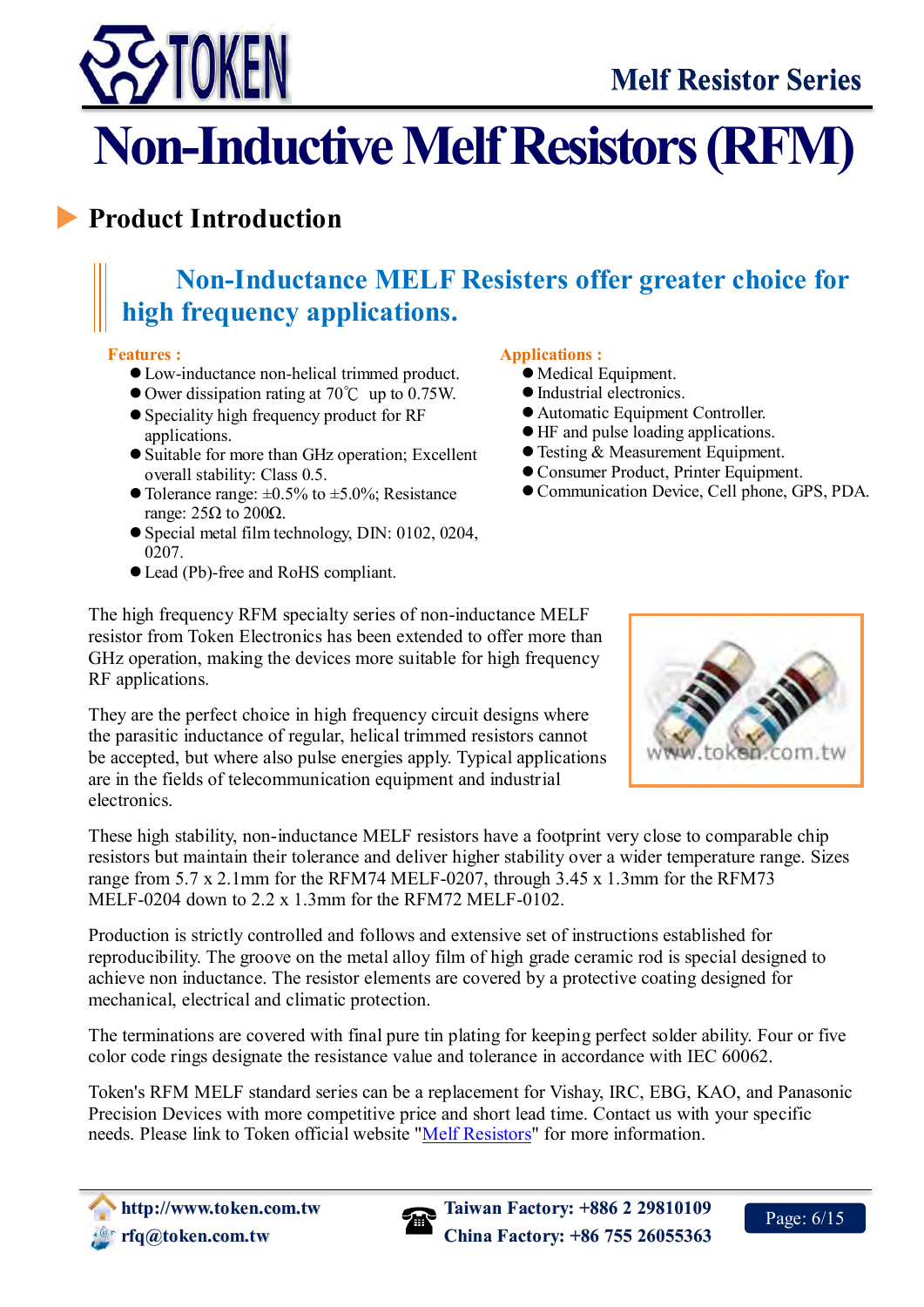

# <span id="page-7-0"></span>**Non-Inductive Melf Resistors (RFM)**

# <span id="page-7-1"></span>**Product Introduction**

# **Non-Inductance MELF Resisters offer greater choice for high frequency applications.**

### **Features :**

- Low-inductance non-helical trimmed product.
- Ower dissipation rating at 70℃ up to 0.75W.
- Speciality high frequency product for RF applications.
- Suitable for more than GHz operation; Excellent overall stability: Class 0.5.
- $\bullet$  Tolerance range:  $\pm 0.5\%$  to  $\pm 5.0\%$ ; Resistance range:  $25\Omega$  to  $200\Omega$ .
- Special metal film technology, DIN: 0102, 0204, 0207.
- Lead (Pb)-free and RoHS compliant.

### **Applications :**

- Medical Equipment.
- Industrial electronics.
- Automatic Equipment Controller.
- HF and pulse loading applications.
- Testing & Measurement Equipment.
- Consumer Product, Printer Equipment.
- Communication Device, Cell phone, GPS, PDA.

The high frequency RFM specialty series of non-inductance MELF resistor from Token Electronics has been extended to offer more than GHz operation, making the devices more suitable for high frequency RF applications.

They are the perfect choice in high frequency circuit designs where the parasitic inductance of regular, helical trimmed resistors cannot be accepted, but where also pulse energies apply. Typical applications are in the fields of telecommunication equipment and industrial electronics.

These high stability, non-inductance MELF resistors have a footprint very close to comparable chip resistors but maintain their tolerance and deliver higher stability over a wider temperature range. Sizes range from 5.7 x 2.1mm for the RFM74 MELF-0207, through 3.45 x 1.3mm for the RFM73 MELF-0204 down to 2.2 x 1.3mm for the RFM72 MELF-0102.

Production is strictly controlled and follows and extensive set of instructions established for reproducibility. The groove on the metal alloy film of high grade ceramic rod is special designed to achieve non inductance. The resistor elements are covered by a protective coating designed for mechanical, electrical and climatic protection.

The terminations are covered with final pure tin plating for keeping perfect solder ability. Four or five color code rings designate the resistance value and tolerance in accordance with IEC 60062.

Token's RFM MELF standard series can be a replacement for Vishay, IRC, EBG, KAO, and Panasonic Precision Devices with more competitive price and short lead time. Contact us with your specific needs. Please link to Token official website ["Melf Resistors"](http://www.token.com.tw/melf-resistor/index.html) for more information.



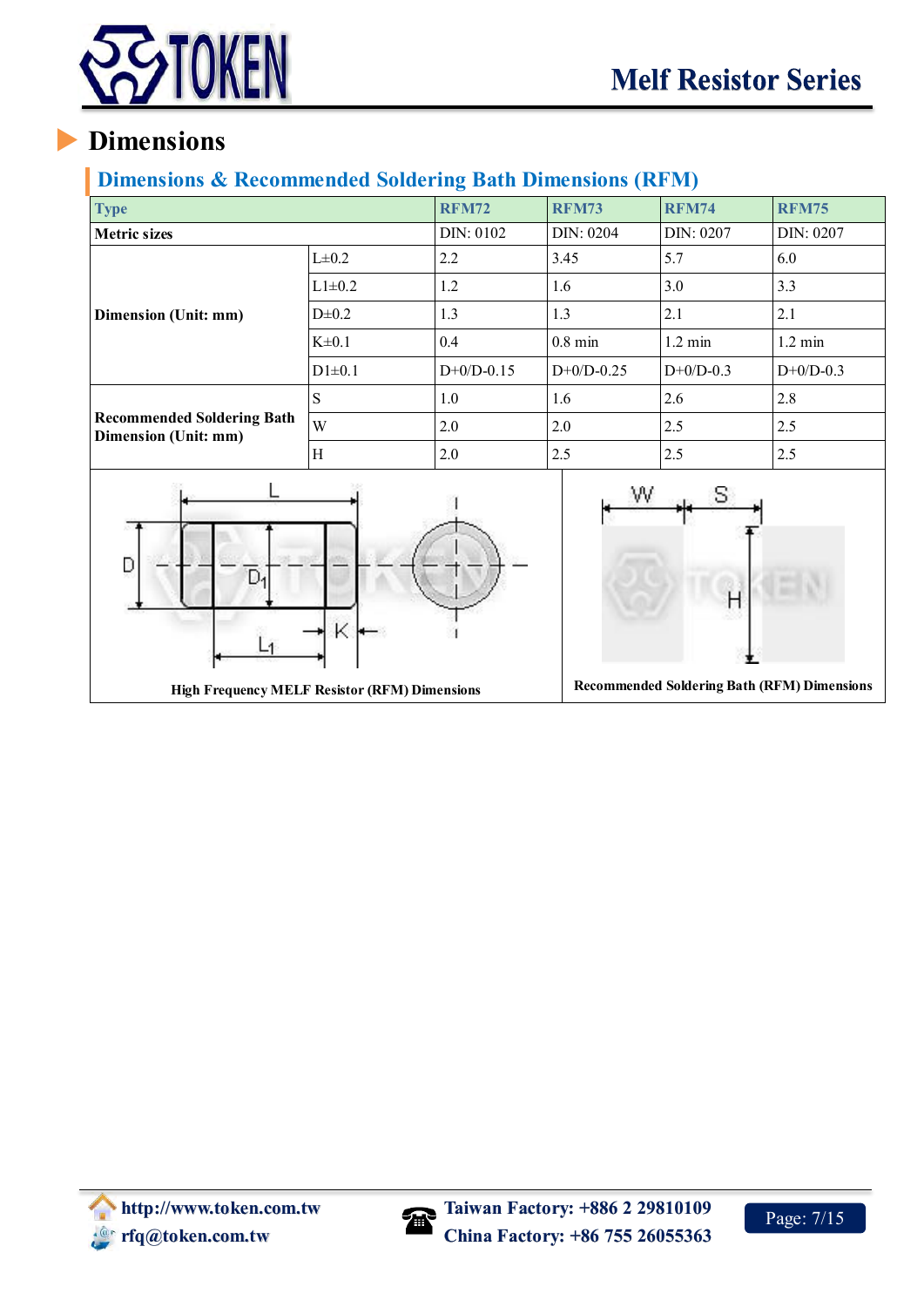

## <span id="page-8-0"></span>**Dimensions & Recommended Soldering Bath Dimensions (RFM)**

| <b>Type</b>                                               |            | <b>RFM72</b> | <b>RFM73</b> | <b>RFM74</b>      | <b>RFM75</b>      |
|-----------------------------------------------------------|------------|--------------|--------------|-------------------|-------------------|
| <b>Metric sizes</b>                                       |            | DIN: 0102    | DIN: 0204    | DIN: 0207         | DIN: 0207         |
|                                                           | $L\pm0.2$  | 2.2          | 3.45         | 5.7               | 6.0               |
| Dimension (Unit: mm)                                      | $L1\pm0.2$ | 1.2          | 1.6          | 3.0               | 3.3               |
|                                                           | $D\pm 0.2$ | 1.3          | 1.3          | 2.1               | 2.1               |
|                                                           | $K\pm0.1$  | 0.4          | $0.8$ min    | $1.2 \text{ min}$ | $1.2 \text{ min}$ |
|                                                           | $D1\pm0.1$ | $D+0/D-0.15$ | $D+0/D-0.25$ | $D+0/D-0.3$       | $D+0/D-0.3$       |
|                                                           | S          | 1.0          | 1.6          | 2.6               | 2.8               |
| <b>Recommended Soldering Bath</b><br>Dimension (Unit: mm) | W          | 2.0          | 2.0          | 2.5               | 2.5               |
|                                                           | Η          | 2.0          | 2.5          | 2.5               | 2.5               |
|                                                           |            |              |              |                   |                   |



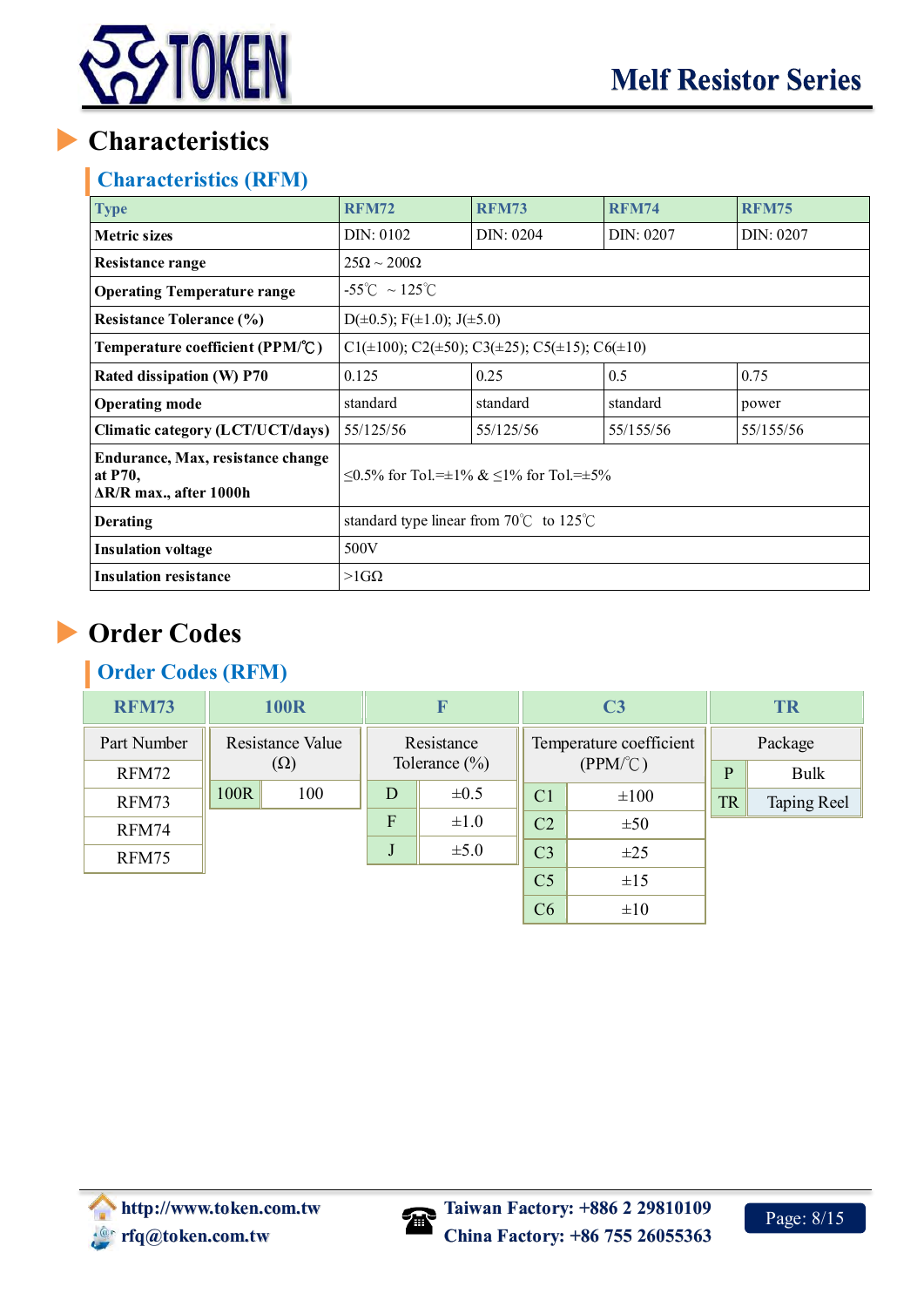

## <span id="page-9-0"></span>**Characteristics (RFM)**

| <b>Type</b>                                                                    | <b>RFM72</b>                                                               | <b>RFM73</b>                                      | <b>RFM74</b> | <b>RFM75</b> |  |  |  |  |
|--------------------------------------------------------------------------------|----------------------------------------------------------------------------|---------------------------------------------------|--------------|--------------|--|--|--|--|
| <b>Metric sizes</b>                                                            | DIN: 0102                                                                  | DIN: 0204                                         | DIN: 0207    | DIN: 0207    |  |  |  |  |
| Resistance range                                                               | $25\Omega \sim 200\Omega$                                                  |                                                   |              |              |  |  |  |  |
| <b>Operating Temperature range</b>                                             | $-55^{\circ}$ C ~ 125 $^{\circ}$ C                                         |                                                   |              |              |  |  |  |  |
| <b>Resistance Tolerance (%)</b>                                                | $D(\pm 0.5)$ ; F( $\pm 1.0$ ); J( $\pm 5.0$ )                              |                                                   |              |              |  |  |  |  |
| Temperature coefficient (PPM/°C)                                               | C1( $\pm$ 100); C2( $\pm$ 50); C3( $\pm$ 25); C5( $\pm$ 15); C6( $\pm$ 10) |                                                   |              |              |  |  |  |  |
| Rated dissipation (W) P70                                                      | 0.125                                                                      | 0.25                                              | 0.5          | 0.75         |  |  |  |  |
| <b>Operating mode</b>                                                          | standard                                                                   | standard                                          | standard     | power        |  |  |  |  |
| Climatic category (LCT/UCT/days)                                               | 55/125/56                                                                  | 55/125/56                                         | 55/155/56    | 55/155/56    |  |  |  |  |
| Endurance, Max, resistance change<br>at P70,<br>$\Delta$ R/R max., after 1000h |                                                                            | $\leq$ 0.5% for Tol.=±1% & $\leq$ 1% for Tol.=±5% |              |              |  |  |  |  |
| <b>Derating</b>                                                                | standard type linear from 70 $\degree$ C to 125 $\degree$ C                |                                                   |              |              |  |  |  |  |
| <b>Insulation voltage</b>                                                      | 500V                                                                       |                                                   |              |              |  |  |  |  |
| <b>Insulation resistance</b>                                                   | $>1G\Omega$                                                                |                                                   |              |              |  |  |  |  |

# <span id="page-9-1"></span>**Order Codes**

## **Order Codes (RFM)**

| <b>RFM73</b> |                  | <b>100R</b> |            | $\boldsymbol{\mathrm{F}}$        |                | C <sub>3</sub>          |           | <b>TR</b>   |
|--------------|------------------|-------------|------------|----------------------------------|----------------|-------------------------|-----------|-------------|
| Part Number  | Resistance Value |             | Resistance |                                  |                | Temperature coefficient |           | Package     |
| RFM72        |                  | $(\Omega)$  |            | Tolerance $(\%)$<br>$\mathbf{P}$ |                | $(PPM^{\circ}C)$        |           | Bulk        |
| RFM73        | 100R             | 100         | D          | $\pm 0.5$                        | C <sub>1</sub> | $\pm 100$               | <b>TR</b> | Taping Reel |
| RFM74        |                  |             | F          | $\pm 1.0$                        | C <sub>2</sub> | ±50                     |           |             |
| RFM75        |                  |             | J          | $\pm 5.0$                        | C <sub>3</sub> | $\pm 25$                |           |             |
|              |                  |             |            |                                  | C <sub>5</sub> | ±15                     |           |             |
|              |                  |             |            |                                  | C6             | $\pm 10$                |           |             |

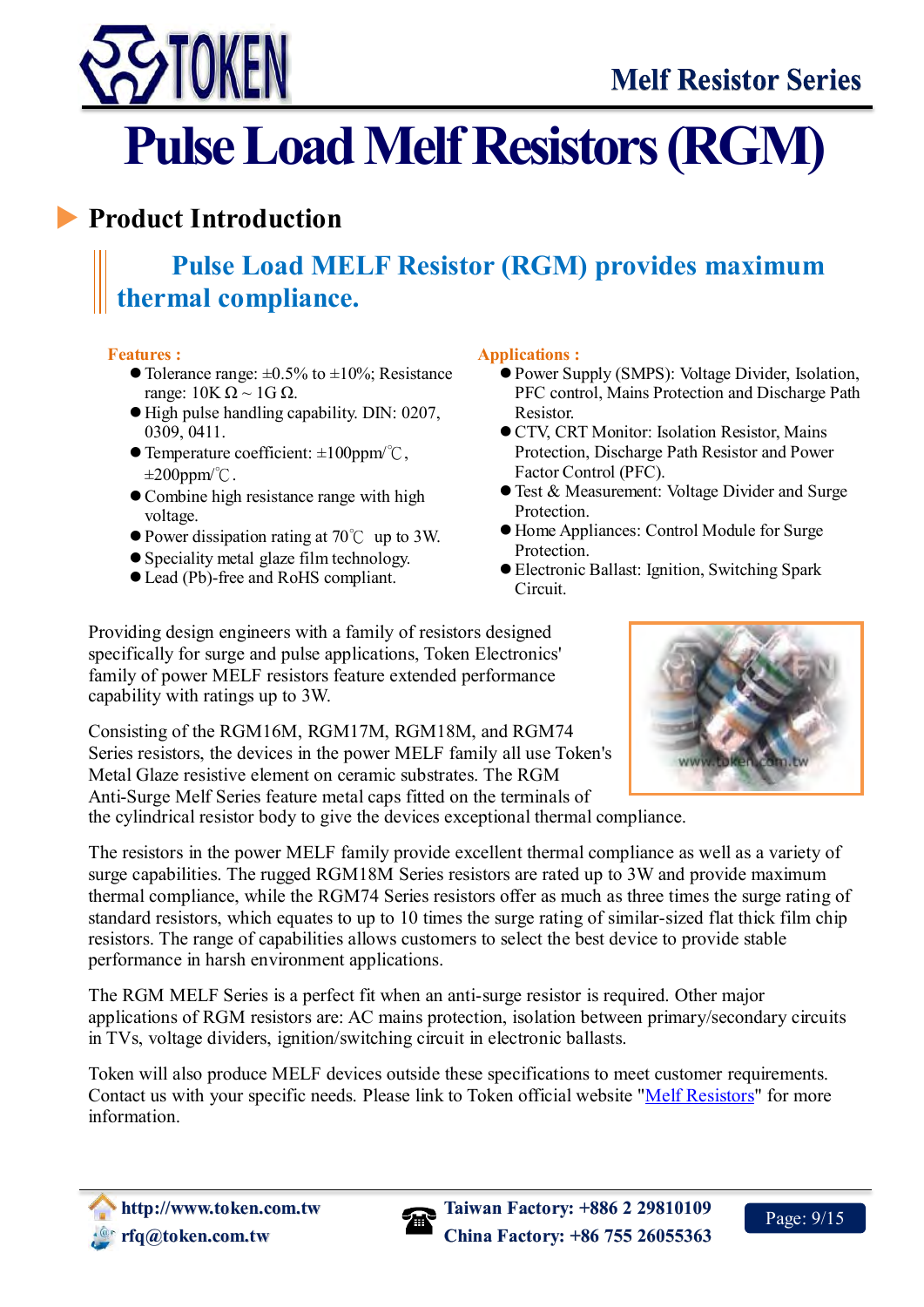

# <span id="page-10-0"></span>**Pulse Load Melf Resistors (RGM)**

# <span id="page-10-1"></span>**Product Introduction**

# **Pulse Load MELF Resistor (RGM) provides maximum thermal compliance.**

### **Features :**

- $\bullet$  Tolerance range:  $\pm 0.5\%$  to  $\pm 10\%$ ; Resistance range:  $10K Ω ~ 1G Ω$ .
- High pulse handling capability. DIN: 0207, 0309, 0411.
- Temperature coefficient: ±100ppm/℃,  $\pm 200$ ppm/°C.
- Combine high resistance range with high voltage.
- Power dissipation rating at 70℃ up to 3W.
- Speciality metal glaze film technology.
- Lead (Pb)-free and RoHS compliant.

#### **Applications :**

- Power Supply (SMPS): Voltage Divider, Isolation, PFC control, Mains Protection and Discharge Path Resistor.
- CTV, CRT Monitor: Isolation Resistor, Mains Protection, Discharge Path Resistor and Power Factor Control (PFC).
- Test & Measurement: Voltage Divider and Surge Protection.
- Home Appliances: Control Module for Surge Protection.
- Electronic Ballast: Ignition, Switching Spark Circuit.

Providing design engineers with a family of resistors designed specifically for surge and pulse applications, Token Electronics' family of power MELF resistors feature extended performance capability with ratings up to 3W.

Consisting of the RGM16M, RGM17M, RGM18M, and RGM74 Series resistors, the devices in the power MELF family all use Token's Metal Glaze resistive element on ceramic substrates. The RGM Anti-Surge Melf Series feature metal caps fitted on the terminals of

the cylindrical resistor body to give the devices exceptional thermal compliance.

The resistors in the power MELF family provide excellent thermal compliance as well as a variety of surge capabilities. The rugged RGM18M Series resistors are rated up to 3W and provide maximum thermal compliance, while the RGM74 Series resistors offer as much as three times the surge rating of standard resistors, which equates to up to 10 times the surge rating of similar-sized flat thick film chip resistors. The range of capabilities allows customers to select the best device to provide stable performance in harsh environment applications.

The RGM MELF Series is a perfect fit when an anti-surge resistor is required. Other major applications of RGM resistors are: AC mains protection, isolation between primary/secondary circuits in TVs, voltage dividers, ignition/switching circuit in electronic ballasts.

Token will also produce MELF devices outside these specifications to meet customer requirements. Contact us with your specific needs. Please link to Token official website ["Melf Resistors"](http://www.token.com.tw/melf-resistor/index.html) for more information.



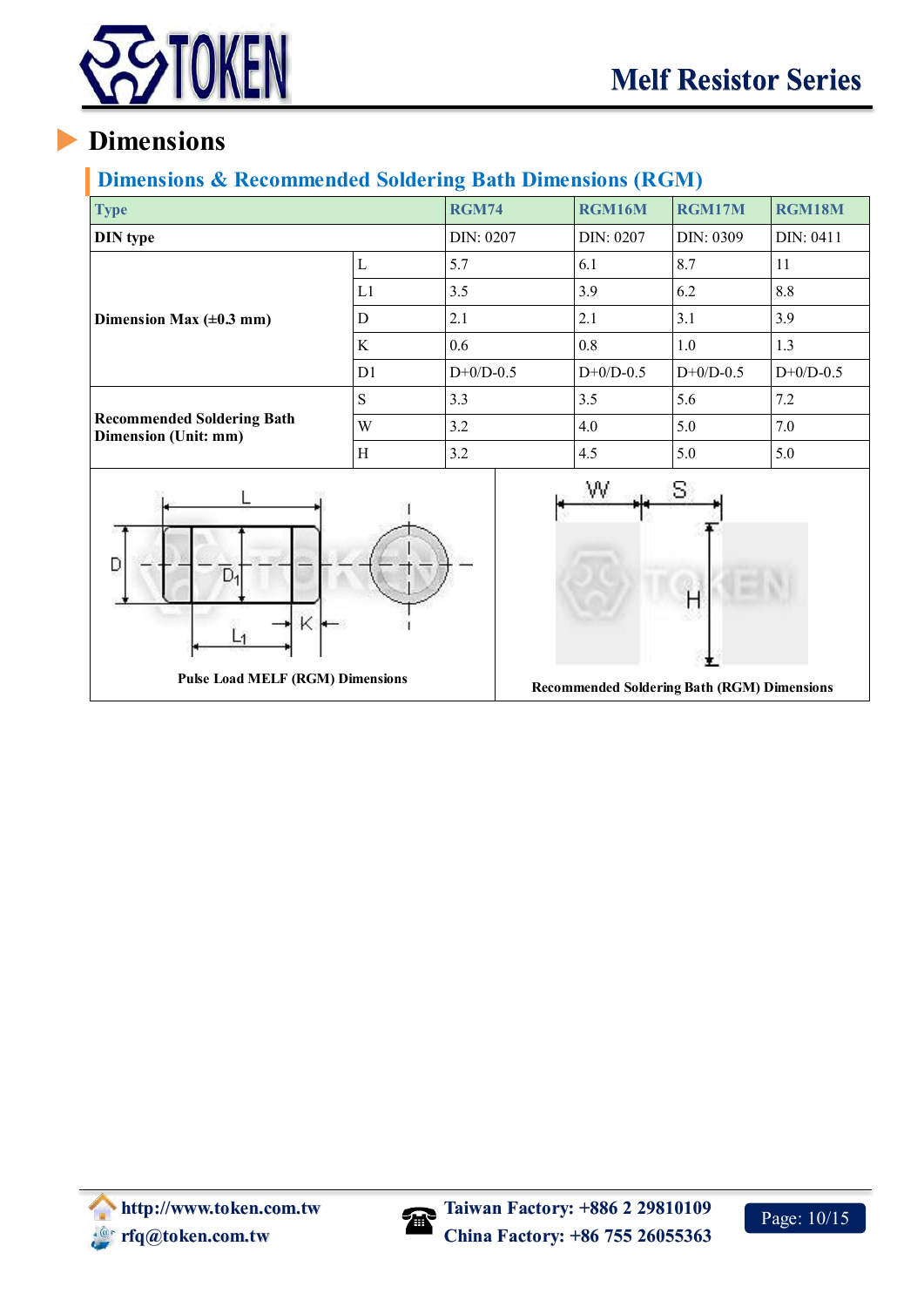

## <span id="page-11-0"></span>**Dimensions & Recommended Soldering Bath Dimensions (RGM)**

| <b>Type</b>                                                         | <b>RGM74</b> | RGM16M      | RGM17M      | RGM18M                                                   |             |
|---------------------------------------------------------------------|--------------|-------------|-------------|----------------------------------------------------------|-------------|
| <b>DIN</b> type                                                     |              | DIN: 0207   | DIN: 0207   | DIN: 0309                                                | DIN: 0411   |
|                                                                     | $\mathbf L$  | 5.7         | 6.1         | 8.7                                                      | 11          |
|                                                                     | L1           | 3.5         | 3.9         | 6.2                                                      | 8.8         |
| Dimension Max $(\pm 0.3 \text{ mm})$                                | ${\bf D}$    | 2.1         | 2.1         | 3.1                                                      | 3.9         |
|                                                                     | $\rm K$      | $0.6\,$     | 0.8         | 1.0                                                      | 1.3         |
|                                                                     | D1           | $D+0/D-0.5$ | $D+0/D-0.5$ | $D+0/D-0.5$                                              | $D+0/D-0.5$ |
|                                                                     | $\mathbf S$  | 3.3         | 3.5         | 5.6                                                      | 7.2         |
| <b>Recommended Soldering Bath</b><br>Dimension (Unit: mm)           | W            | 3.2         | 4.0         | 5.0                                                      | 7.0         |
|                                                                     | $\mathbf H$  | 3.2         | 4.5         | 5.0                                                      | 5.0         |
| D<br>D <sub>4</sub><br>K<br><b>Pulse Load MELF (RGM) Dimensions</b> |              |             | W           | S.<br><b>Recommended Soldering Bath (RGM) Dimensions</b> |             |

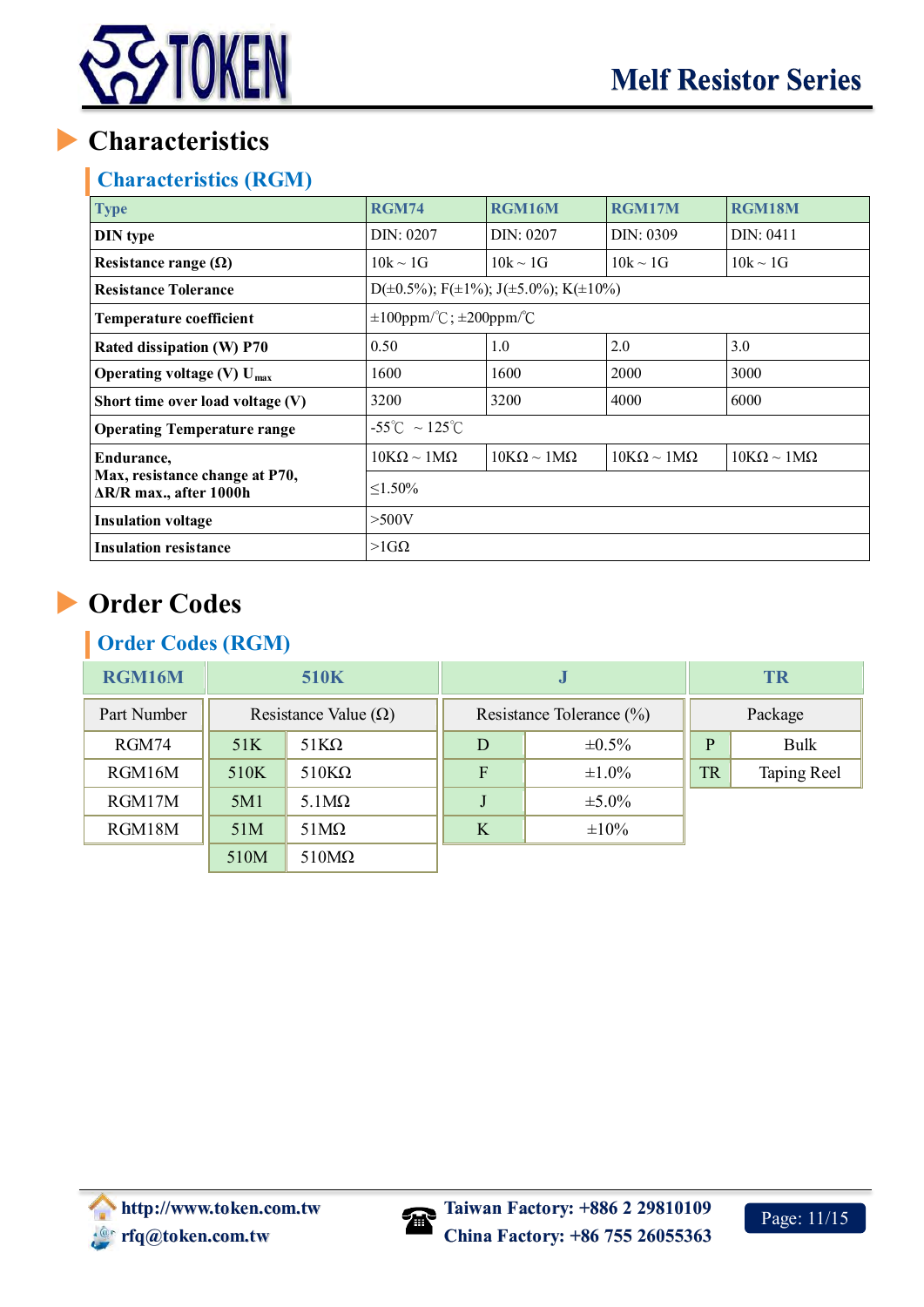

## <span id="page-12-0"></span>**Characteristics (RGM)**

| <b>Type</b>                                                      | <b>RGM74</b>                       | RGM16M                                                      | RGM17M                    | RGM18M                    |  |  |
|------------------------------------------------------------------|------------------------------------|-------------------------------------------------------------|---------------------------|---------------------------|--|--|
| <b>DIN</b> type                                                  | DIN: 0207<br>DIN: 0207             |                                                             | DIN: 0309                 | DIN: 0411                 |  |  |
| Resistance range $(\Omega)$                                      | $10k \sim 1G$                      | $10k \sim 1G$                                               | $10k \sim 1G$             | $10k \sim 1G$             |  |  |
| <b>Resistance Tolerance</b>                                      |                                    | D( $\pm$ 0.5%); F( $\pm$ 1%); J( $\pm$ 5.0%); K( $\pm$ 10%) |                           |                           |  |  |
| Temperature coefficient                                          | $\pm 100$ ppm/°C; $\pm 200$ ppm/°C |                                                             |                           |                           |  |  |
| Rated dissipation (W) P70                                        | 0.50                               | 1.0                                                         | 2.0                       | 3.0                       |  |  |
| Operating voltage (V) $U_{max}$                                  | 1600                               | 1600                                                        | 2000                      | 3000                      |  |  |
| Short time over load voltage (V)                                 | 3200                               | 3200                                                        | 4000                      | 6000                      |  |  |
| <b>Operating Temperature range</b>                               | $-55^{\circ}$ C ~ 125 $^{\circ}$ C |                                                             |                           |                           |  |  |
| Endurance,                                                       | $10K\Omega \sim 1M\Omega$          | $10K\Omega \sim 1M\Omega$                                   | $10K\Omega \sim 1M\Omega$ | $10K\Omega \sim 1M\Omega$ |  |  |
| Max, resistance change at P70,<br>$\Delta$ R/R max., after 1000h | $\leq 1.50\%$                      |                                                             |                           |                           |  |  |
| <b>Insulation voltage</b>                                        | $>$ 500V                           |                                                             |                           |                           |  |  |
| <b>Insulation resistance</b>                                     | $>1G\Omega$                        |                                                             |                           |                           |  |  |

# <span id="page-12-1"></span>**Order Codes**

## **Order Codes (RGM)**

| <b>RGM16M</b> | <b>510K</b>                 |              |                          | IJ          | <b>TR</b>    |             |  |
|---------------|-----------------------------|--------------|--------------------------|-------------|--------------|-------------|--|
| Part Number   | Resistance Value $(\Omega)$ |              | Resistance Tolerance (%) |             | Package      |             |  |
| RGM74         | 51K                         | $51K\Omega$  | D                        | $\pm 0.5\%$ | $\mathbf{P}$ | <b>Bulk</b> |  |
| RGM16M        | 510K                        | $510K\Omega$ | $\mathbf{F}$             | $\pm 1.0\%$ | <b>TR</b>    | Taping Reel |  |
| RGM17M        | 5M1                         | $5.1M\Omega$ |                          | $\pm 5.0\%$ |              |             |  |
| RGM18M        | 51M                         | $51M\Omega$  | K                        | $\pm 10\%$  |              |             |  |
|               | 510 <sub>M</sub>            | $510M\Omega$ |                          |             |              |             |  |

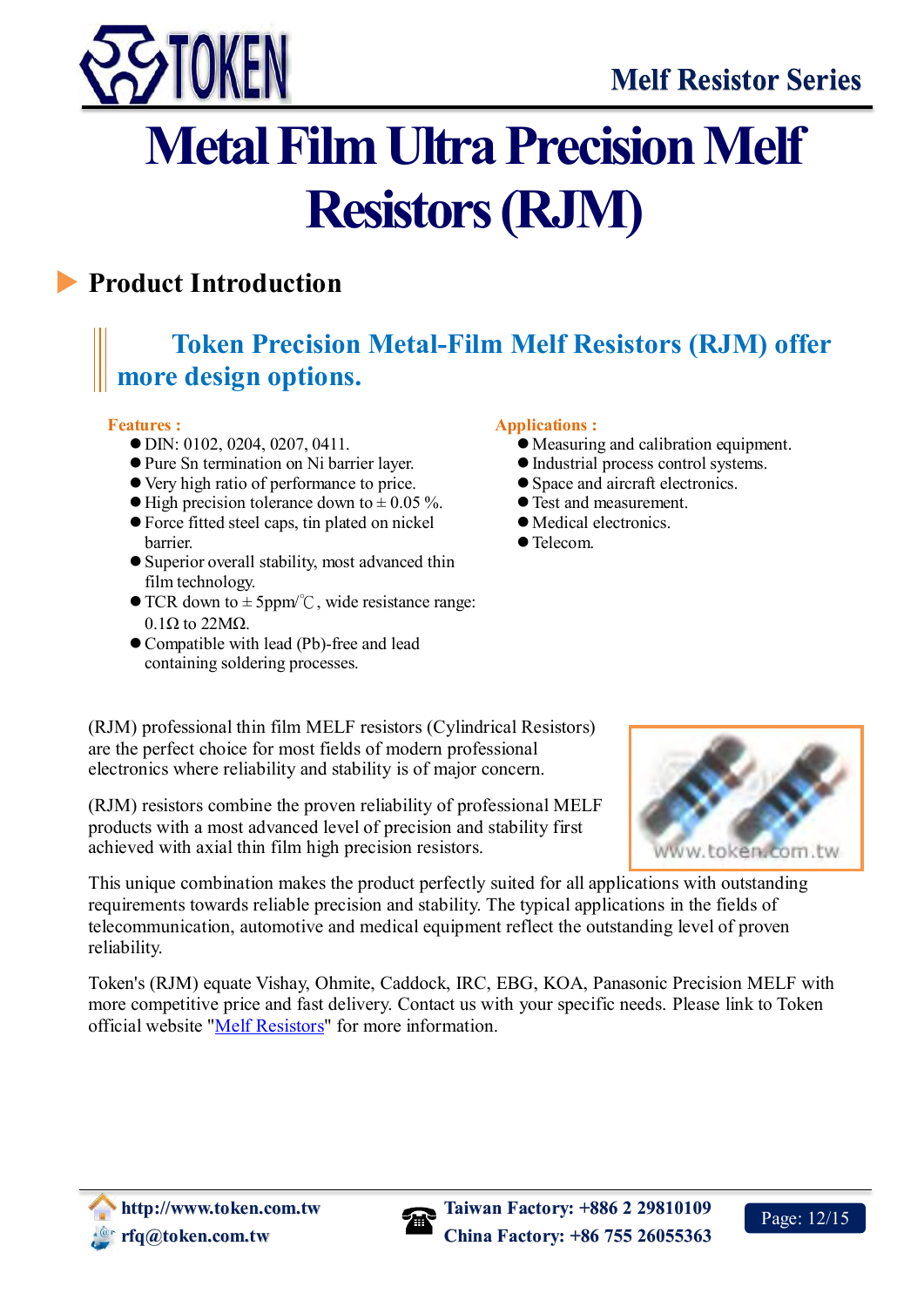

# <span id="page-13-0"></span>**Metal Film Ultra Precision Melf Resistors (RJM)**

# <span id="page-13-1"></span>**Product Introduction**

# **Token Precision Metal-Film Melf Resistors (RJM) offer more design options.**

#### **Features :**

 $\overline{a}$ 

- DIN: 0102, 0204, 0207, 0411.
- Pure Sn termination on Ni barrier layer.
- Very high ratio of performance to price.
- $\bullet$  High precision tolerance down to  $\pm$  0.05 %.
- Force fitted steel caps, tin plated on nickel barrier.
- Superior overall stability, most advanced thin film technology.
- $\bullet$  TCR down to  $\pm$  5ppm<sup>o</sup>°C, wide resistance range:  $0.1\Omega$  to 22M $\Omega$ .
- Compatible with lead (Pb)-free and lead containing soldering processes.

#### **Applications :**

- Measuring and calibration equipment.
- Industrial process control systems.
- Space and aircraft electronics.
- Test and measurement.
- Medical electronics.
- Telecom.

(RJM) professional thin film MELF resistors (Cylindrical Resistors) are the perfect choice for most fields of modern professional electronics where reliability and stability is of major concern.

(RJM) resistors combine the proven reliability of professional MELF products with a most advanced level of precision and stability first achieved with axial thin film high precision resistors.

This unique combination makes the product perfectly suited for all applications with outstanding requirements towards reliable precision and stability. The typical applications in the fields of telecommunication, automotive and medical equipment reflect the outstanding level of proven reliability.

Token's (RJM) equate Vishay, Ohmite, Caddock, IRC, EBG, KOA, Panasonic Precision MELF with more competitive price and fast delivery. Contact us with your specific needs. Please link to Token official website ["Melf Resistors"](http://www.token.com.tw/melf-resistor/index.html) for more information.



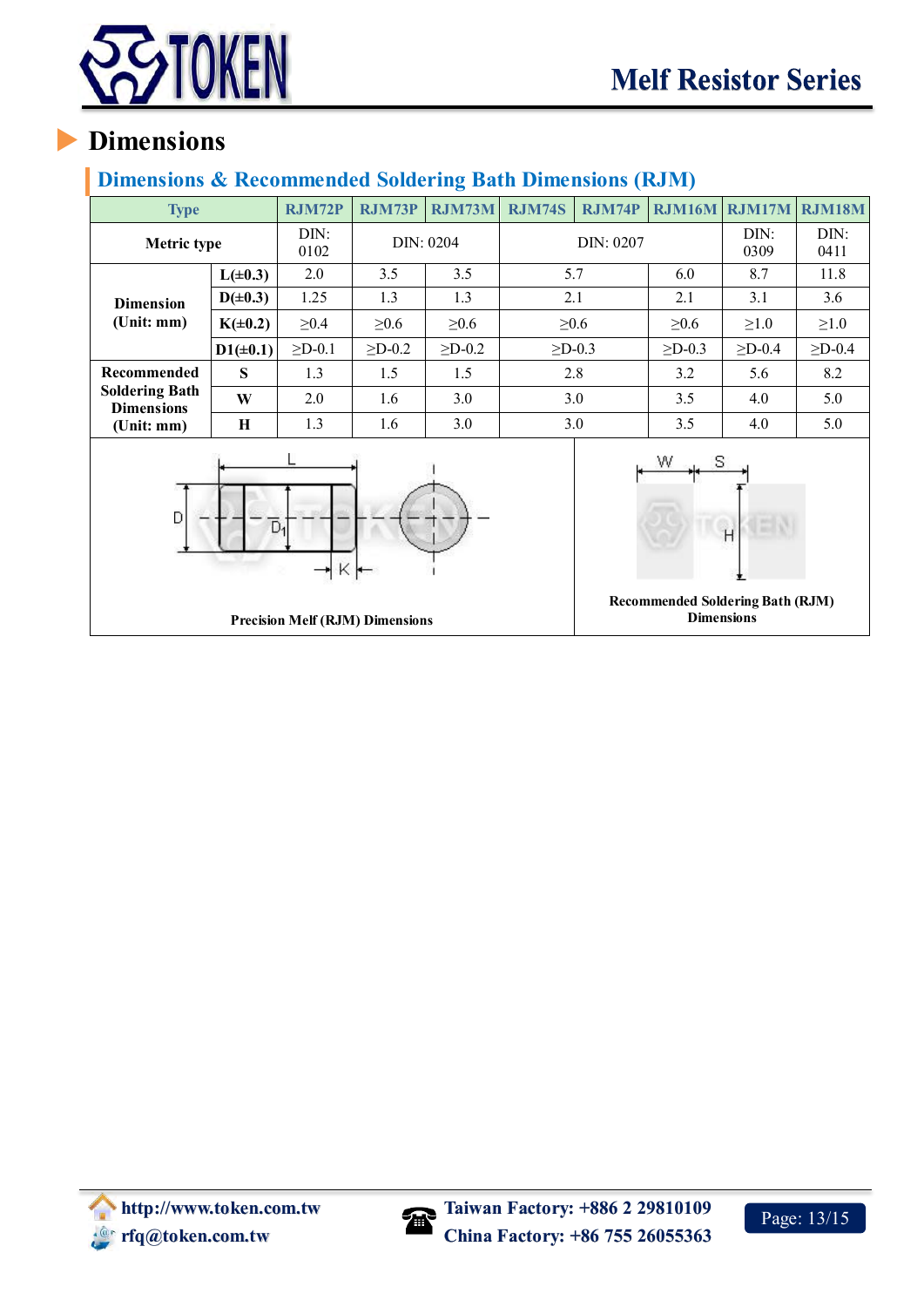

## <span id="page-14-0"></span>**Dimensions & Recommended Soldering Bath Dimensions (RJM)**

| <b>Type</b>                                |               | <b>RJM72P</b>                          | RJM73P       | RJM73M         | <b>RJM74S</b>  | <b>RJM74P</b>                                                | <b>RJM16M</b> | RJM17M       | RJM18M         |
|--------------------------------------------|---------------|----------------------------------------|--------------|----------------|----------------|--------------------------------------------------------------|---------------|--------------|----------------|
| Metric type                                |               | DIN:<br>0102                           | DIN: 0204    |                |                | DIN: 0207                                                    |               | DIN:<br>0309 | DIN:<br>0411   |
|                                            | $L(\pm 0.3)$  | 2.0                                    | 3.5          | 3.5            |                | 5.7                                                          | 6.0           | 8.7          | 11.8           |
| <b>Dimension</b><br>(Unit: mm)             | $D(\pm 0.3)$  | 1.25                                   | 1.3          | 1.3            | 2.1            |                                                              | 2.1           | 3.1          | 3.6            |
|                                            | $K(\pm 0.2)$  | $\geq 0.4$                             | $\geq 0.6$   | $\geq 0.6$     |                | $\geq 0.6$                                                   | $\geq 0.6$    | $\geq 1.0$   | $\geq 1.0$     |
|                                            | $D1(\pm 0.1)$ | $\Sigma$ D-0.1                         | $\geq$ D-0.2 | $\Sigma$ D-0.2 | $\Sigma$ D-0.3 |                                                              | $\geq$ D-0.3  | $\geq$ D-0.4 | $\Sigma$ D-0.4 |
| Recommended                                | S             | 1.3                                    | 1.5          | 1.5            |                | 2.8                                                          | 3.2           | 5.6          | 8.2            |
| <b>Soldering Bath</b><br><b>Dimensions</b> | W             | 2.0                                    | 1.6          | 3.0            | 3.0            |                                                              | 3.5           | 4.0          | 5.0            |
| (Unit: mm)                                 | H             | 1.3                                    | 1.6          | 3.0            | 3.0            |                                                              | 3.5           | 4.0          | 5.0            |
| D                                          |               | $D_1$<br>$K +$                         |              |                | W<br>s         | H                                                            |               |              |                |
|                                            |               | <b>Precision Melf (RJM) Dimensions</b> |              |                |                | <b>Recommended Soldering Bath (RJM)</b><br><b>Dimensions</b> |               |              |                |

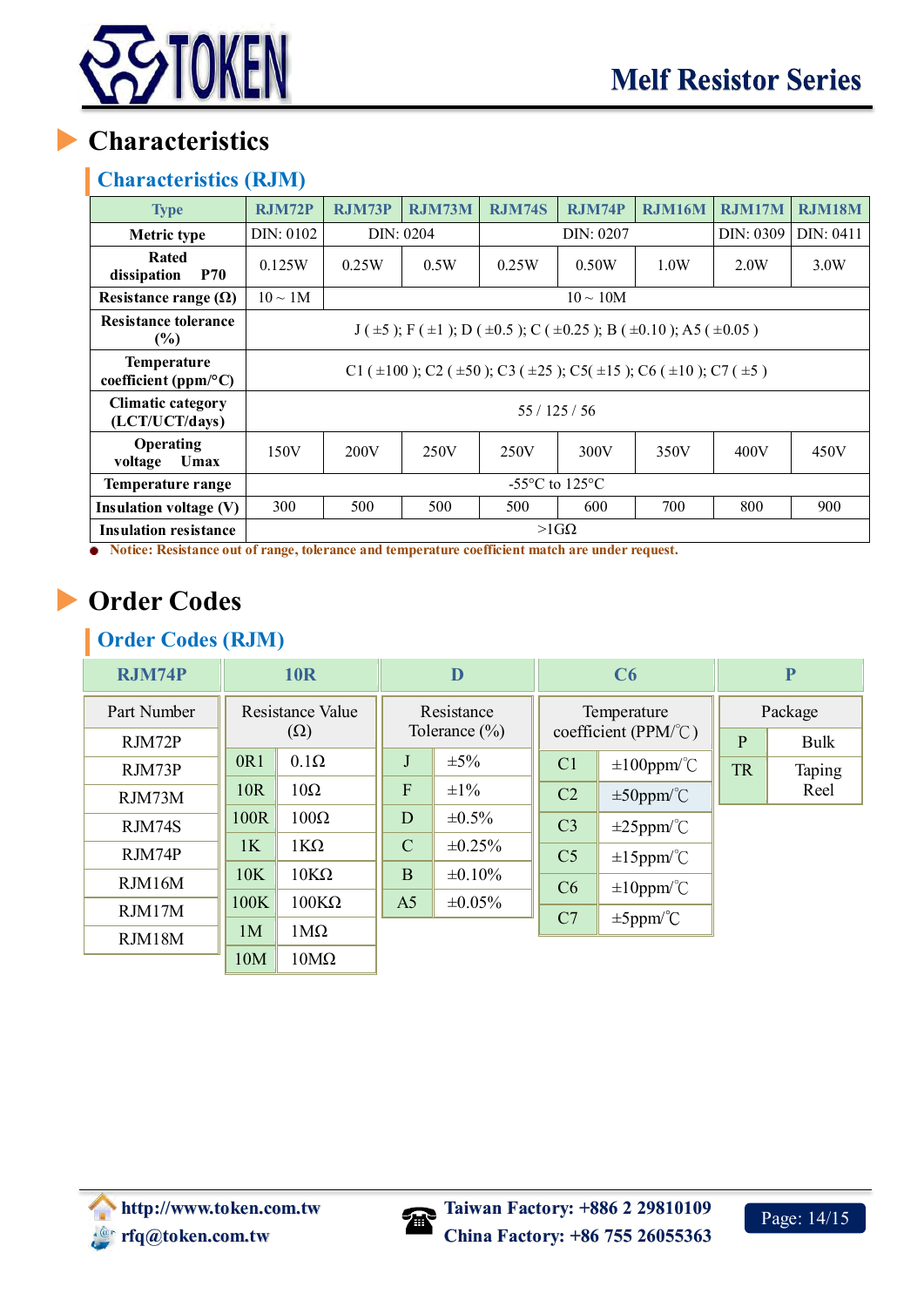

## <span id="page-15-0"></span>**Characteristics (RJM)**

| <b>Type</b>                                | <b>RJM72P</b>                                                                                 | <b>RJM73P</b> | <b>RJM73M</b> | <b>RJM74S</b> | <b>RJM74P</b> | <b>RJM16M</b> | <b>RJM17M</b> | <b>RJM18M</b> |  |  |
|--------------------------------------------|-----------------------------------------------------------------------------------------------|---------------|---------------|---------------|---------------|---------------|---------------|---------------|--|--|
| Metric type                                | DIN: 0102                                                                                     | DIN: 0204     |               |               | DIN: 0207     |               |               | DIN: 0411     |  |  |
| Rated<br>dissipation<br><b>P70</b>         | 0.125W                                                                                        | 0.25W         | 0.5W          | 0.25W         | 0.50W         | 1.0W          | 2.0W          | 3.0W          |  |  |
| Resistance range $(\Omega)$                | $10 \sim 1$ M<br>$10 \sim 10M$                                                                |               |               |               |               |               |               |               |  |  |
| <b>Resistance tolerance</b><br>$(\%)$      | $J(\pm 5)$ ; F( $\pm 1$ ); D( $\pm 0.5$ ); C( $\pm 0.25$ ); B( $\pm 0.10$ ); A5( $\pm 0.05$ ) |               |               |               |               |               |               |               |  |  |
| <b>Temperature</b><br>coefficient (ppm/°C) | C1 ( $\pm$ 100); C2 ( $\pm$ 50); C3 ( $\pm$ 25); C5( $\pm$ 15); C6 ( $\pm$ 10); C7 ( $\pm$ 5) |               |               |               |               |               |               |               |  |  |
| <b>Climatic category</b><br>(LCT/UCT/days) | 55/125/56                                                                                     |               |               |               |               |               |               |               |  |  |
| Operating<br>Umax<br>voltage               | 150V                                                                                          | 200V          | 250V          | 250V          | 300V          | 350V          | 400V          | 450V          |  |  |
| Temperature range                          | $-55^{\circ}$ C to 125 $^{\circ}$ C                                                           |               |               |               |               |               |               |               |  |  |
| <b>Insulation voltage (V)</b>              | 300                                                                                           | 500           | 500           | 500           | 600           | 700           | 800           | 900           |  |  |
| <b>Insulation resistance</b>               | $>1$ GQ<br>$\sim$ $\sim$                                                                      |               |               |               |               |               |               |               |  |  |

<span id="page-15-1"></span>**•** Notice: Resistance out of range, tolerance and temperature coefficient match are under request.

# **Order Codes**

## **Order Codes (RJM)**

| <b>RJM74P</b> | <b>10R</b>       |                   | D                 |              | C6                                            |                               | $\overline{\mathbf{P}}$ |        |
|---------------|------------------|-------------------|-------------------|--------------|-----------------------------------------------|-------------------------------|-------------------------|--------|
| Part Number   | Resistance Value |                   | Resistance        |              | Temperature<br>coefficient (PPM/ $\degree$ C) |                               | Package                 |        |
| RJM72P        | $(\Omega)$       |                   | Tolerance $(\% )$ |              |                                               |                               | P                       | Bulk   |
| RJM73P        | 0R1              | $0.1\Omega$       | J                 | $\pm 5\%$    | C <sub>1</sub>                                | $\pm 100$ ppm <sup>o</sup> °C | <b>TR</b>               | Taping |
| RJM73M        | 10R              | $10\Omega$        | $\overline{F}$    | $\pm 1\%$    | C <sub>2</sub>                                | $\pm 50$ ppm/°C               |                         | Reel   |
| RJM74S        | 100R             | $100\Omega$       | D                 | $\pm 0.5\%$  | C <sub>3</sub>                                | $\pm 25$ ppm/°C               |                         |        |
| RJM74P        | 1K               | $1K\Omega$        | $\mathbf C$       | $\pm 0.25\%$ | C <sub>5</sub>                                | $\pm 15$ ppm/°C               |                         |        |
| RJM16M        | <b>10K</b>       | $10K\Omega$       | B                 | $\pm 0.10\%$ |                                               |                               |                         |        |
|               | 100K             | $100K\Omega$      | A <sub>5</sub>    | $\pm 0.05\%$ | C6                                            | $\pm 10$ ppm/°C               |                         |        |
| RJM17M        | 1M               | $1\text{M}\Omega$ |                   |              | C7                                            | $\pm 5$ ppm/°C                |                         |        |
| RJM18M        |                  |                   |                   |              |                                               |                               |                         |        |
|               | 10M              | $10M\Omega$       |                   |              |                                               |                               |                         |        |